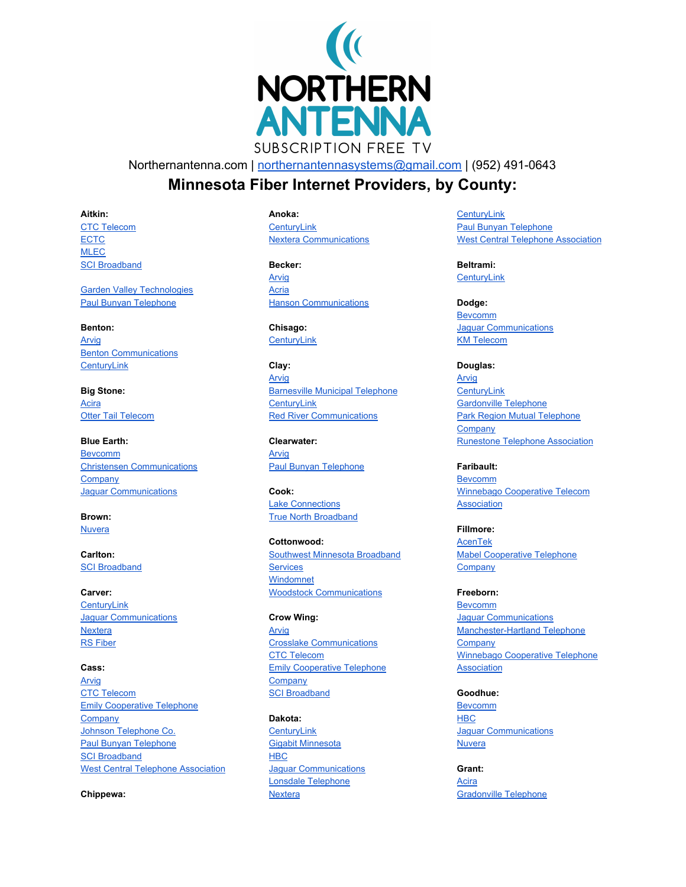

Northernantenna.com | [northernantennasystems@gmail.com](mailto:northernantennasystems@gmail.com) | (952) 491-0643

# **Minnesota Fiber Internet Providers, by County:**

**Aitkin:**

CTC [Telecom](https://www.goctc.com/) **[ECTC](https://www.emily.net/)** [MLEC](https://www.mlecmn.net/) **SCI [Broadband](http://www.scibroadband.com/)** 

Garden Valley [Technologies](http://www.gvtel.com/) Paul Bunyan [Telephone](https://paulbunyan.net/)

**Benton:**

[Arvig](https://www.arvig.com/) Benton [Communications](http://www.bctelco.net/) **CenturyLink** 

**Big Stone:** [Acira](http://www.aciracoop.net/) Otter Tail [Telecom](https://www.parkregion.com/)

**Blue Earth:** [Bevcomm](http://www.bevcomm.net/site/) Christensen [Communications](https://www.chriscomco.net/main/) **[Company](https://www.chriscomco.net/main/)** Jaguar [Communications](https://www.jaguarcommunications.com/)

**Brown:** [Nuvera](https://nuvera.net/)

**Carlton: SCI [Broadband](http://www.scibroadband.com/)** 

**Carver: [CenturyLink](https://www.centurylink.com/)** Jaguar [Communications](https://www.jaguarcommunications.com/) **[Nextera](https://nextera.net/)** RS [Fiber](http://www.rsfiber.coop/)

**Cass:** [Arvig](https://www.arvig.com/) **CTC [Telecom](https://www.goctc.com/)** Emily [Cooperative](http://www.emily.net/) Telephone **[Company](http://www.emily.net/)** Johnson [Telephone](http://www.jtc-companies.net/index.html) Co. Paul Bunyan [Telephone](https://paulbunyan.net/) **SCI [Broadband](http://www.scibroadband.com/)** West Central Telephone [Association](https://www.wcta.net/)

**Chippewa:**

**Anoka:**

**[CenturyLink](https://www.centurylink.com/)** Nextera [Communications](https://nextera.net/)

**Becker:** [Arvig](https://www.arvig.com/) [Acria](http://www.aciracoop.net/) **Hanson [Communications](http://www.hcinet.net/)** 

**Chisago: [CenturyLink](https://www.centurylink.com/)** 

**Clay:** [Arvig](https://www.arvig.com/) **[Barnesville](https://www.barnesvillemn.com/services/internet/) Municipal Telephone [CenturyLink](https://www.centurylink.com/)** Red River [Communications](https://redrivercomm.com/)

**Clearwater:** [Arvig](https://www.arvig.com/) Paul Bunyan [Telephone](https://paulbunyan.net/)

**Cook:** Lake [Connections](http://www.lakeconnections.com/) True North [Broadband](https://truenorthbroadband.com/)

**Cottonwood:** Southwest Minnesota [Broadband](http://www.mysmbs.com/) **[Services](http://www.mysmbs.com/)** [Windomnet](https://www.windomnet.com/) Woodstock [Communications](https://www.woodstocktel.net/)

**Crow Wing:** [Arvig](https://www.arvig.com/) Crosslake [Communications](http://www.crosslake.net/) CTC [Telecom](https://www.goctc.com/) Emily [Cooperative](http://www.emily.net/) Telephone **[Company](http://www.emily.net/)** SCI [Broadband](http://www.scibroadband.com/)

**Dakota: [CenturyLink](https://www.centurylink.com/)** Gigabit [Minnesota](http://www.gigabitmn.com/) **[HBC](http://www.hbci.com/)** Jaguar [Communications](https://www.jaguarcommunications.com/) Lonsdale [Telephone](http://lonsdaletel.com/) **[Nextera](https://nextera.net/)** 

**[CenturyLink](https://www.centurylink.com/)** Paul Bunyan [Telephone](https://paulbunyan.net/) West Central Telephone [Association](https://www.wcta.net/)

**Beltrami: CenturyLink** 

**Dodge: [Bevcomm](http://www.bevcomm.net/)** Jaguar [Communications](https://www.jaguarcommunications.com/) KM [Telecom](http://www.kmtel.com/)

**Douglas:** [Arvig](https://www.arvig.com/) **[CenturyLink](https://www.centurylink.com/)** [Gardonville](http://gctel.com/index.php/gc-high-speed-dsl) Telephone Park Region Mutual [Telephone](https://www.parkregion.com/) **[Company](https://www.parkregion.com/)** Runestone Telephone [Association](http://www.runestone.net/)

**Faribault:** [Bevcomm](http://www.bevcomm.net/) Winnebago [Cooperative](https://www.wctatel.net/) Telecom [Association](https://www.wctatel.net/)

**Fillmore:** [AcenTek](https://www.acentek.net/) Mabel [Cooperative](http://www.mabeltel.coop/) Telephone **[Company](http://www.mabeltel.coop/)** 

**Freeborn: [Bevcomm](http://www.bevcomm.net/)** Jaguar [Communications](https://www.jaguarcommunications.com/) [Manchester-Hartland](http://mhtele.com/) Telephone **[Company](http://mhtele.com/)** Winnebago [Cooperative](https://www.wctatel.net/) Telephone [Association](https://www.wctatel.net/)

**Goodhue:** [Bevcomm](http://www.bevcomm.net/) **[HBC](http://www.hbci.com/)** Jaguar [Communications](https://www.jaguarcommunications.com/) **[Nuvera](https://nuvera.net/)** 

**Grant:** [Acira](http://www.aciracoop.net/) [Gradonville](http://gctel.com/index.php/gc-high-speed-dsl) Telephone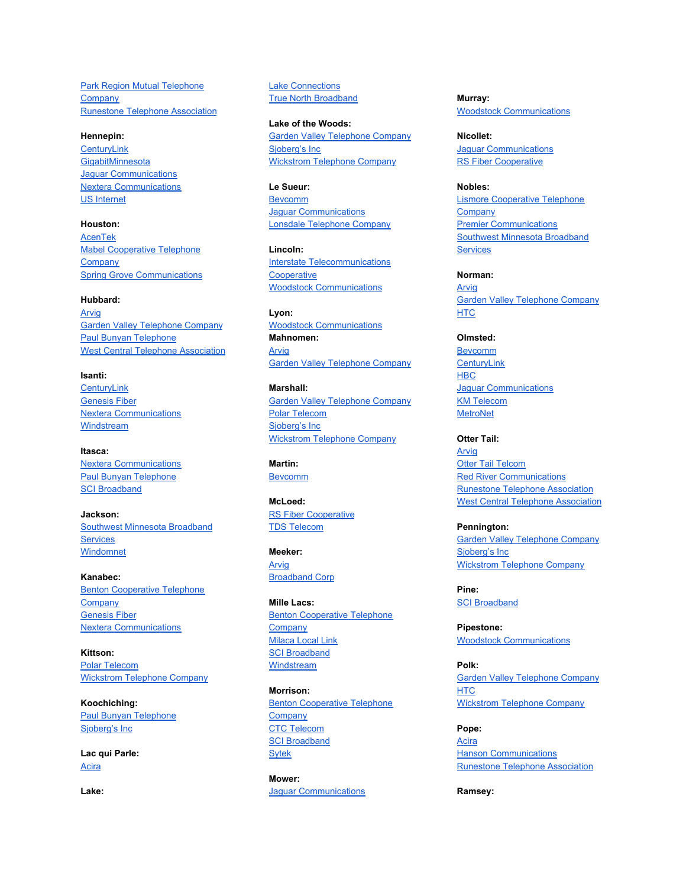Park Region Mutual [Telephone](https://www.parkregion.com/) **[Company](https://www.parkregion.com/)** Runestone Telephone [Association](http://www.runestone.net/)

### **Hennepin:**

**[CenturyLink](https://www.centurylink.com/) [GigabitMinnesota](http://www.gigabitmn.com/)** Jaguar [Communications](https://www.jaguarcommunications.com/) Nextera [Communications](https://nextera.net/) US [Internet](https://fiber.usinternet.com/)

**Houston:** [AcenTek](https://www.acentek.n/) Mabel [Cooperative](http://www.mabeltel.coop/) Telephone **[Company](http://www.mabeltel.coop/)** Spring Grove [Communications](http://www.yourlocal.coop/)

# **Hubbard:**

**[Arvig](https://www.arvig.com/)** Garden Valley [Telephone](http://www.gvtel.com/) Company Paul Bunyan [Telephone](https://paulbunyan.net/) West Central Telephone [Association](https://www.wcta.net/)

**Isanti: [CenturyLink](https://www.centurylink.com/)** [Genesis](https://www.genesiswireless.com/) Fiber Nextera [Communications](https://nextera.net/) [Windstream](https://www.windstream.com/)

**Itasca:** Nextera [Communications](https://nextera.net/) Paul Bunyan [Telephone](https://paulbunyan.net/) SCI [Broadband](http://www.scibroadband.com/)

**Jackson:** Southwest Minnesota [Broadband](http://www.mysmbs.com/) **[Services](http://www.mysmbs.com/)** [Windomnet](https://www.windomnet.com/)

**Kanabec:** Benton [Cooperative](http://www.bctelco.net/) Telephone **[Company](http://www.bctelco.net/)** [Genesis](https://www.genesiswireless.com/) Fiber Nextera [Communications](https://nextera.net/)

**Kittson:** Polar [Telecom](http://www.polarcomm.com/) Wickstrom [Telephone](https://wiktel.com/services.php) Company

**Koochiching:** Paul Bunyan [Telephone](https://paulbunyan.net/) [Sjoberg's](http://trf.mncable.net/) Inc

**Lac qui Parle:** [Acira](http://www.aciracoop.net/)

**Lake:**

Lake [Connections](http://www.lakeconnections.com/) True North [Broadband](https://truenorthbroadband.com/)

**Lake of the Woods:** Garden Valley [Telephone](http://www.gvtel.com/) Company [Sjoberg's](http://trf.mncable.net/) Inc Wickstrom [Telephone](https://wiktel.com/services.php) Company

**Le Sueur:** [Bevcomm](http://www.bevcomm.net/) Jaguar [Communications](https://www.jaguarcommunications.com/) Lonsdale [Telephone](http://lonsdaletel.com/) Company

**Lincoln:** Interstate [Telecommunications](http://www.itc-web.com/) **[Cooperative](http://www.itc-web.com/)** Woodstock [Communications](https://www.woodstocktel.net/)

**Lyon:** Woodstock [Communications](https://www.woodstocktel.net/) **Mahnomen:** [Arvig](https://www.arvig.com/) Garden Valley [Telephone](http://www.gvtel.com/) Company

**Marshall:** Garden Valley [Telephone](http://www.gvtel.com/) Company Polar [Telecom](http://www.polarcomm.com/) [Sjoberg's](http://trf.mncable.net/) Inc Wickstrom [Telephone](https://wiktel.com/services.php) Company

**Martin:** [Bevcomm](http://www.bevcomm.net/)

**McLoed:** RS Fiber [Cooperative](http://www.rsfiber.coop/) TDS [Telecom](https://tdstelecom.com/)

**Meeker:** [Arvig](https://www.arvig.com/) [Broadband](http://broadband-mn.com/) Corp

**Mille Lacs:** Benton [Cooperative](http://www.bctelco.net/) Telephone **[Company](http://www.bctelco.net/) [Milaca](http://www.milaca.net/) Local Link SCI [Broadband](http://www.scibroadband.com/) [Windstream](https://www.windstream.com/)** 

**Morrison: Benton [Cooperative](http://www.bctelco.net/) Telephone [Company](http://www.bctelco.net/)** CTC [Telecom](https://www.goctc.com/) SCI [Broadband](http://www.scibroadband.com/) [Sytek](http://www.sytekcom.com/)

**Mower:** Jaguar [Communications](https://www.jaguarcommunications.com/) **Murray:** Woodstock [Communications](https://www.woodstocktel.net/)

**Nicollet:** Jaguar [Communications](https://www.jaguarcommunications.com/) **RS Fiber [Cooperative](http://www.rsfiber.coop/)** 

**Nobles:** Lismore [Cooperative](http://www.lismoretel.com/) Telephone **[Company](http://www.lismoretel.com/)** Premier [Communications](https://www.mypremieronline.com/) Southwest Minnesota [Broadband](http://www.mysmbs.com/) **[Services](http://www.mysmbs.com/)** 

**Norman:** [Arvig](https://www.arvig.com/) Garden Valley [Telephone](http://www.gvtel.com/) Company [HTC](http://www.halstadtel.com/)

**Olmsted:** [Bevcomm](http://www.bevcomm.net/) **[CenturyLink](https://www.centurylink.com/) [HBC](http://www.hbci.com/)** Jaguar [Communications](https://www.jaguarcom/) KM [Telecom](http://www.kmtel.com/) **[MetroNet](https://www.metronetinc.com/)** 

**Otter Tail:** [Arvig](https://www.arvig.com/) Otter Tail [Telcom](https://www.parkregion.com/) Red River [Communications](https://redrivercomm.com/) Runestone Telephone [Association](http://www.runestone.net/) West Central Telephone [Association](https://www.wcta.net/)

**Pennington:** Garden Valley [Telephone](http://www.gvtel.com/) Company [Sjoberg's](http://trf.mncable.net/) Inc Wickstrom [Telephone](https://wiktel.com/services.php) Company

**Pine:** SCI [Broadband](http://www.scibroadband.com/)

**Pipestone:** Woodstock [Communications](https://www.woodstocktel.net/)

**Polk:** Garden Valley [Telephone](http://www.gvtel.com/) Company **[HTC](http://www.halstadtel.com/)** Wickstrom [Telephone](https://wiktel.com/services.php) Company

**Pope:** [Acira](http://www.aciracoop.net/) Hanson [Communications](http://www.hcinet.net/) Runestone Telephone [Association](http://www.runestone.net/)

**Ramsey:**